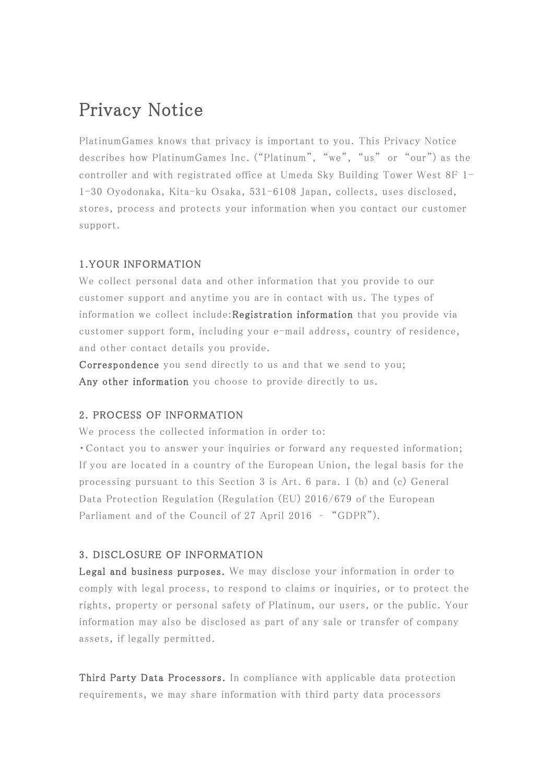# Privacy Notice

PlatinumGames knows that privacy is important to you. This Privacy Notice describes how PlatinumGames Inc. ("Platinum", "we", "us" or "our") as the controller and with registrated office at Umeda Sky Building Tower West 8F 1- 1-30 Oyodonaka, Kita-ku Osaka, 531-6108 Japan, collects, uses disclosed, stores, process and protects your information when you contact our customer support.

### 1.YOUR INFORMATION

We collect personal data and other information that you provide to our customer support and anytime you are in contact with us. The types of information we collect include:Registration information that you provide via customer support form, including your e-mail address, country of residence, and other contact details you provide.

Correspondence you send directly to us and that we send to you; Any other information you choose to provide directly to us.

#### 2. PROCESS OF INFORMATION

We process the collected information in order to:

・Contact you to answer your inquiries or forward any requested information; If you are located in a country of the European Union, the legal basis for the processing pursuant to this Section 3 is Art. 6 para. 1 (b) and (c) General Data Protection Regulation (Regulation (EU) 2016/679 of the European Parliament and of the Council of 27 April 2016 – "GDPR").

#### 3. DISCLOSURE OF INFORMATION

Legal and business purposes. We may disclose your information in order to comply with legal process, to respond to claims or inquiries, or to protect the rights, property or personal safety of Platinum, our users, or the public. Your information may also be disclosed as part of any sale or transfer of company assets, if legally permitted.

Third Party Data Processors. In compliance with applicable data protection requirements, we may share information with third party data processors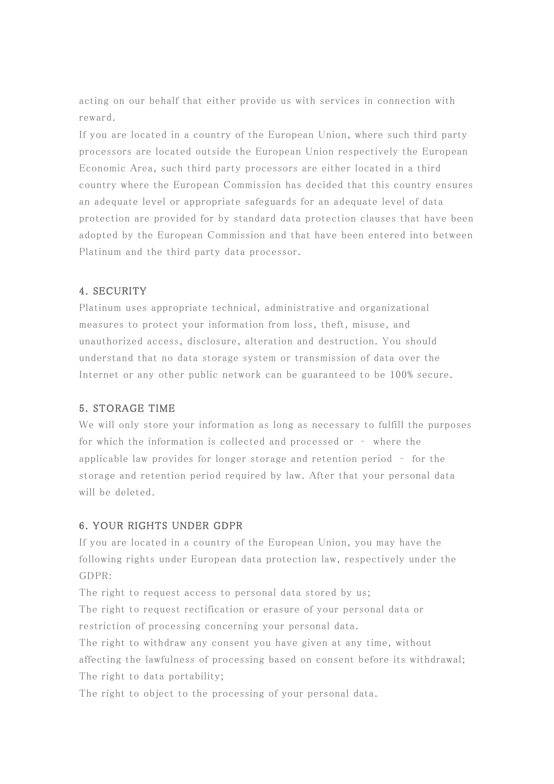acting on our behalf that either provide us with services in connection with reward.

If you are located in a country of the European Union, where such third party processors are located outside the European Union respectively the European Economic Area, such third party processors are either located in a third country where the European Commission has decided that this country ensures an adequate level or appropriate safeguards for an adequate level of data protection are provided for by standard data protection clauses that have been adopted by the European Commission and that have been entered into between Platinum and the third party data processor.

## 4. SECURITY

Platinum uses appropriate technical, administrative and organizational measures to protect your information from loss, theft, misuse, and unauthorized access, disclosure, alteration and destruction. You should understand that no data storage system or transmission of data over the Internet or any other public network can be guaranteed to be 100% secure.

#### 5. STORAGE TIME

We will only store your information as long as necessary to fulfill the purposes for which the information is collected and processed or – where the applicable law provides for longer storage and retention period – for the storage and retention period required by law. After that your personal data will be deleted.

#### 6. YOUR RIGHTS UNDER GDPR

If you are located in a country of the European Union, you may have the following rights under European data protection law, respectively under the GDPR:

The right to request access to personal data stored by us; The right to request rectification or erasure of your personal data or restriction of processing concerning your personal data.

The right to withdraw any consent you have given at any time, without affecting the lawfulness of processing based on consent before its withdrawal; The right to data portability;

The right to object to the processing of your personal data.